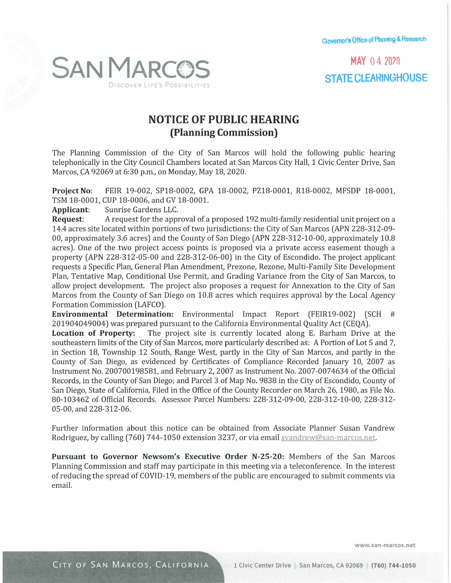**Governor's Office of Planning & Research** 

**MAY 04 2070 STATE CLEARINGHOUSE** 



## **NOTICE OF PUBLIC HEARING (Planning Commission)**

The Planning Commission of the City of San Marcos will hold the following public hearing telephonically in the City Council Chambers located at San Marcos City Hall, 1 Civic Center Drive, San Marcos, CA 92069 at 6:30 p.m., on Monday, May 18, 2020.

**Project No:** FEIR 19-002, SP18-0002, GPA 18-0002, PZlB-0001, RlB-0002, MFSDP 18-0001, TSM 18-0001, CUP 18-0006, and GV 18-0001.

**Applicant:** Sunrise Gardens LLC.

**Request:** A request for the approval of a proposed 192 multi-family residential unit project on a 14.4 acres site located within portions of two jurisdictions: the City of San Marcos (APN 228-312-09- 00, approximately 3.6 acres) and the County of San Diego (APN 228-312-10-00, approximately 10.8 acres). One of the two project access points is proposed via a private access easement though a property (APN 228-312-05-00 and 228-312-06-00) in the City of Escondido. The project applicant requests a Specific Plan, General Plan Amendment, Prezone, Rezone, Multi-Family Site Development Plan, Tentative Map, Conditional Use Permit, and Grading Variance from the City of San Marcos, to allow project development. The project also proposes a request for Annexation to the City of San Marcos from the County of San Diego on 10.8 acres which requires approval by the Local Agency Formation Commission (LAFCO).

**Environmental Determination:** Environmental Impact Report (FEIR19-002) (SCH # 201904049004) was prepared pursuant to the California Environmental Quality Act (CEQA).

**Location of Property:** The project site is currently located along E. Barham Drive at the southeastern limits of the City of San Marcos, more particularly described as: A Portion of Lot 5 and 7, in Section 18, Township 12 South, Range West, partly in the City of San Marcos, and partly in the County of San Diego, as evidenced by Certificates of Compliance Recorded January 10, 2007 as Instrument No. 200700198581, and February 2, 2007 as Instrument No. 2007-0074634 of the Official Records, in the County of San Diego; and Parcel 3 of Map No. 9838 in the City of Escondido, County of San Diego, State of California, Filed in the Office of the County Recorder on March 26, 1980, as File No. 80-103462 of Official Records. Assessor Parcel Numbers: 228-312-09-00, 228-312-10-00, 228-312- 05-00, and 228-312-06.

Further information about this notice can be obtained from Associate Planner Susan Vandrew Rodriguez, by calling (760) 744-1050 extension 3237, or via email svandrew@san-marcos.net.

**Pursuant to Governor Newsom's Executive Order N-25-20:** Members of the San Marcos Planning Commission and staff may participate in this meeting via a teleconference. In the interest of reducing the spread of COVID-19, members of the public are encouraged to submit comments via email.

**www.san-marcos.net**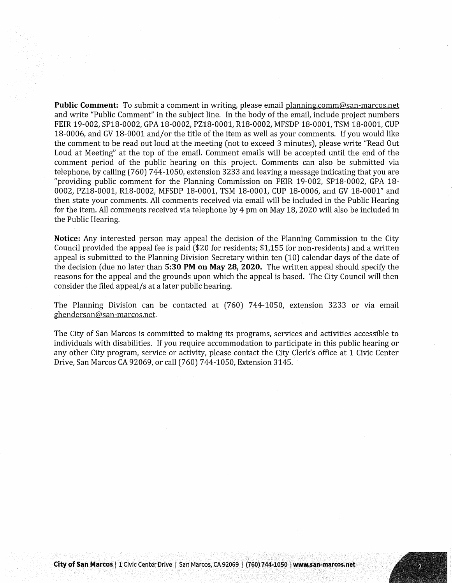**Public Comment:** To submit a comment in writing, please email planning.comm@san-marcos.net and write "Public Comment" in the subject line. In the body of the email, include project numbers FEIR 19-002, SPlB-0002, GPA 18-0002, PZlB-0001, RlB-0002, MFSDP 18-0001, TSM 18-0001, CUP 18-0006, and GV 18-0001 and/or the title of the item as well as your comments. If you would like the comment to be read out loud at the meeting (not to exceed 3 minutes), please write "Read Out Loud at Meeting" at the top of the email. Comment emails will be accepted until the end of the comment period of the public hearing on this project. Comments can also be submitted via telephone, by calling (760) 744-1050, extension 3233 and leaving a message indicating that you are "providing public comment for the Planning Commission on FEIR 19-002, SPlB-0002, GPA 18- 0002, PZ18-0001, R18-0002, MFSDP 18-0001, TSM 18-0001, CUP 18-0006, and GV 18-0001" and then state your comments. All comments received via email will be included in the Public Hearing for the item. All comments received via telephone by 4 pm on May 18, 2020 will also be included in the Public Hearing.

**Notice:** Any interested person may appeal the decision of the Planning Commission to the City Council provided the appeal fee is paid (\$20 for residents; \$1,155 for non-residents) and a written appeal is submitted to the Planning Division Secretary within ten (10) calendar days of the date of the decision ( due no later than **5:30 PM on May 28, 2020.** The written appeal should specify the reasons for the appeal and the grounds upon which the appeal is based. The City Council will then consider the filed appeal/s at a later public hearing.

The Planning Division can be contacted at (760) 744-1050, extension 3233 or via email ghenderson@san-marcos.net.

The City of San Marcos is committed to making its programs, services and activities accessible to individuals with disabilities. If you require accommodation to participate in this public hearing or any other City program, service or activity, please contact the City Clerk's office at 1 Civic Center Drive, San Marcos CA 92069, or call (760) 744-1050, Extension 3145.

. .

þ,